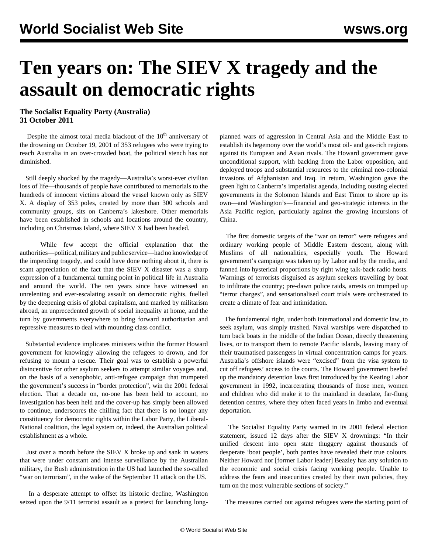## **Ten years on: The SIEV X tragedy and the assault on democratic rights**

## **The Socialist Equality Party (Australia) 31 October 2011**

Despite the almost total media blackout of the  $10<sup>th</sup>$  anniversary of the drowning on October 19, 2001 of 353 refugees who were trying to reach Australia in an over-crowded boat, the political stench has not diminished.

 Still deeply shocked by the tragedy—Australia's worst-ever civilian loss of life—thousands of people have contributed to memorials to the hundreds of innocent victims aboard the vessel known only as SIEV X. A display of 353 poles, created by more than 300 schools and community groups, sits on Canberra's lakeshore. Other memorials have been established in schools and locations around the country, including on Christmas Island, where SIEV X had been headed.

 While few accept the official explanation that the authorities—political, military and public service—had no knowledge of the impending tragedy, and could have done nothing about it, there is scant appreciation of the fact that the SIEV X disaster was a sharp expression of a fundamental turning point in political life in Australia and around the world. The ten years since have witnessed an unrelenting and ever-escalating assault on democratic rights, fuelled by the deepening crisis of global capitalism, and marked by militarism abroad, an unprecedented growth of social inequality at home, and the turn by governments everywhere to bring forward authoritarian and repressive measures to deal with mounting class conflict.

 Substantial evidence implicates ministers within the former Howard government for knowingly allowing the refugees to drown, and for refusing to mount a rescue. Their goal was to establish a powerful disincentive for other asylum seekers to attempt similar voyages and, on the basis of a xenophobic, anti-refugee campaign that trumpeted the government's success in "border protection", win the 2001 federal election. That a decade on, no-one has been held to account, no investigation has been held and the cover-up has simply been allowed to continue, underscores the chilling fact that there is no longer any constituency for democratic rights within the Labor Party, the Liberal-National coalition, the legal system or, indeed, the Australian political establishment as a whole.

 Just over a month before the SIEV X broke up and sank in waters that were under constant and intense surveillance by the Australian military, the Bush administration in the US had launched the so-called "war on terrorism", in the wake of the September 11 attack on the US.

 In a desperate attempt to offset its historic decline, Washington seized upon the 9/11 terrorist assault as a pretext for launching longplanned wars of aggression in Central Asia and the Middle East to establish its hegemony over the world's most oil- and gas-rich regions against its European and Asian rivals. The Howard government gave unconditional support, with backing from the Labor opposition, and deployed troops and substantial resources to the criminal neo-colonial invasions of Afghanistan and Iraq. In return, Washington gave the green light to Canberra's imperialist agenda, including ousting elected governments in the Solomon Islands and East Timor to shore up its own—and Washington's—financial and geo-strategic interests in the Asia Pacific region, particularly against the growing incursions of China.

 The first domestic targets of the "war on terror" were refugees and ordinary working people of Middle Eastern descent, along with Muslims of all nationalities, especially youth. The Howard government's campaign was taken up by Labor and by the media, and fanned into hysterical proportions by right wing talk-back radio hosts. Warnings of terrorists disguised as asylum seekers travelling by boat to infiltrate the country; pre-dawn police raids, arrests on trumped up "terror charges", and sensationalised court trials were orchestrated to create a climate of fear and intimidation.

 The fundamental right, under both international and domestic law, to seek asylum, was simply trashed. Naval warships were dispatched to turn back boats in the middle of the Indian Ocean, directly threatening lives, or to transport them to remote Pacific islands, leaving many of their traumatised passengers in virtual concentration camps for years. Australia's offshore islands were "excised" from the visa system to cut off refugees' access to the courts. The Howard government beefed up the mandatory detention laws first introduced by the Keating Labor government in 1992, incarcerating thousands of those men, women and children who did make it to the mainland in desolate, far-flung detention centres, where they often faced years in limbo and eventual deportation.

 The Socialist Equality Party warned in its 2001 federal election statement, issued 12 days after the SIEV X drownings: "In their unified descent into open state thuggery against thousands of desperate 'boat people', both parties have revealed their true colours. Neither Howard nor [former Labor leader] Beazley has any solution to the economic and social crisis facing working people. Unable to address the fears and insecurities created by their own policies, they turn on the most vulnerable sections of society."

The measures carried out against refugees were the starting point of